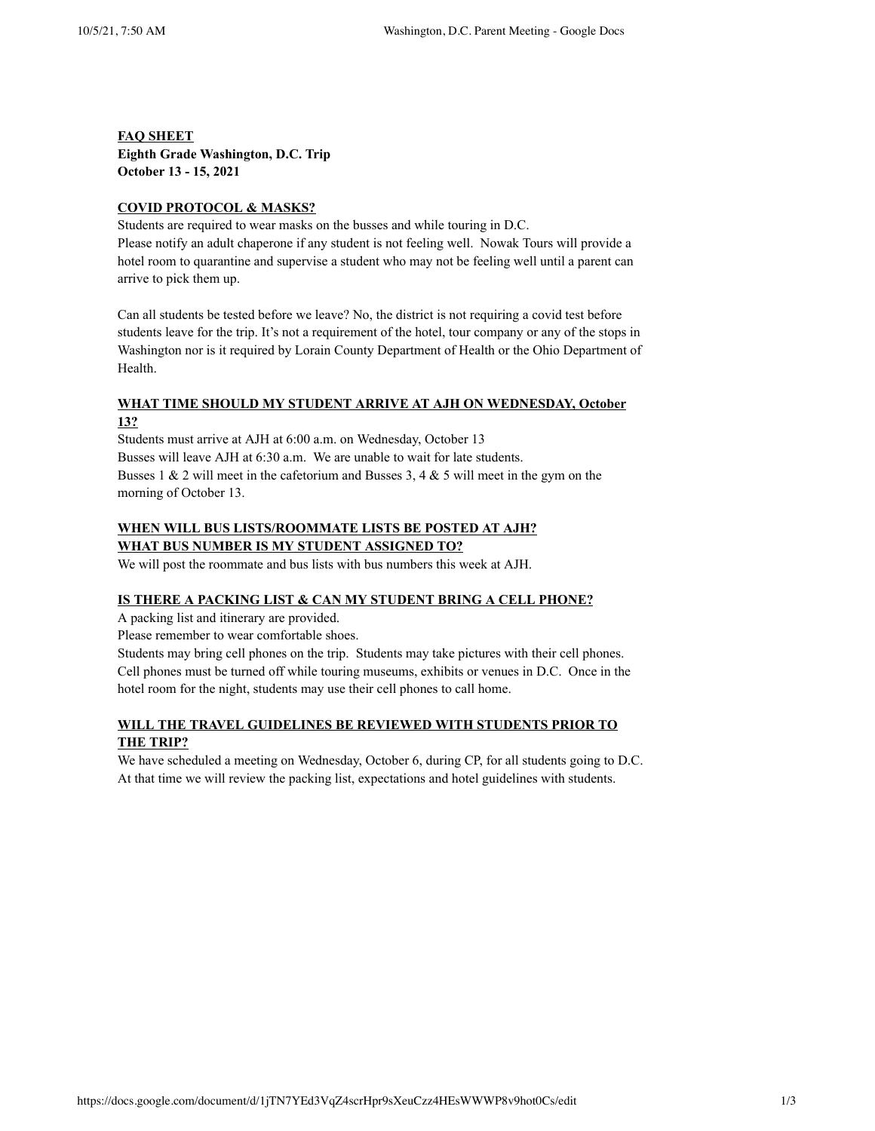**FAQ SHEET Eighth Grade Washington, D.C. Trip** October 13 - 15, 2021

### **CO9ID PROTOCOL & MASKS?**

Students are required to wear masks on the busses and while touring in D.C. Please notify an adult chaperone if any student is not feeling well. Nowak Tours will provide a hotel room to quarantine and supervise a student who may not be feeling well until a parent can arrive to pick them up.

Can all students be tested before we leave? No, the district is not requiring a covid test before students leave for the trip. It's not a requirement of the hotel, tour company or any of the stops in Washington nor is it required by Lorain County Department of Health or the Ohio Department of Health.

# **WHAT TIME SHOULD MY STUDENT ARRIVE AT AJH ON WEDNESDAY, October 13?**

Students must arrive at AJH at 6:00 a.m. on Wednesday, October 13 Busses will leave AJH at 6:30 a.m. We are unable to wait for late students. Busses 1 & 2 will meet in the cafetorium and Busses 3, 4 & 5 will meet in the gym on the morning of October 13.

# WHEN WILL BUS LISTS/ROOMMATE LISTS BE POSTED AT AJH? **WHAT BUS NUMBER IS MY STUDENT ASSIGNED TO?**

We will post the roommate and bus lists with bus numbers this week at AJH.

### IS THERE A PACKING LIST & CAN MY STUDENT BRING A CELL PHONE?

A packing list and itinerary are provided.

Please remember to wear comfortable shoes.

Students may bring cell phones on the trip. Students may take pictures with their cell phones. Cell phones must be turned off while touring museums, exhibits or venues in D.C. Once in the hotel room for the night, students may use their cell phones to call home.

# **WILL THE TRAVEL GUIDELINES BE REVIEWED WITH STUDENTS PRIOR TO THE TRIP?**

We have scheduled a meeting on Wednesday, October 6, during CP, for all students going to D.C. At that time we will review the packing list, expectations and hotel guidelines with students.